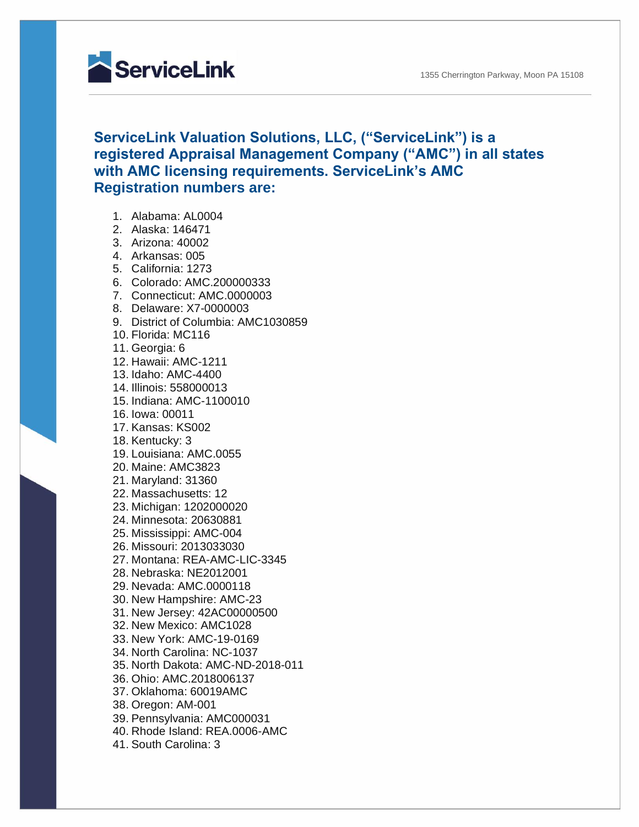1355 Cherrington Parkway, Moon PA 15108



## **ServiceLink Valuation Solutions, LLC, ("ServiceLink") is a registered Appraisal Management Company ("AMC") in all states with AMC licensing requirements. ServiceLink's AMC Registration numbers are:**

- 1. Alabama: AL0004
- 2. Alaska: 146471
- 3. Arizona: 40002
- 4. Arkansas: 005
- 5. California: 1273
- 6. Colorado: AMC.200000333
- 7. Connecticut: AMC.0000003
- 8. Delaware: X7-0000003
- 9. District of Columbia: AMC1030859
- 10. Florida: MC116
- 11. Georgia: 6
- 12. Hawaii: AMC-1211
- 13. Idaho: AMC-4400
- 14. Illinois: 558000013
- 15. Indiana: AMC-1100010
- 16. Iowa: 00011
- 17. Kansas: KS002
- 18. Kentucky: 3
- 19. Louisiana: AMC.0055
- 20. Maine: AMC3823
- 21. Maryland: 31360
- 22. Massachusetts: 12
- 23. Michigan: 1202000020
- 24. Minnesota: 20630881
- 25. Mississippi: AMC-004
- 26. Missouri: 2013033030
- 27. Montana: REA-AMC-LIC-3345
- 28. Nebraska: NE2012001
- 29. Nevada: AMC.0000118
- 30. New Hampshire: AMC-23
- 31. New Jersey: 42AC00000500
- 32. New Mexico: AMC1028
- 33. New York: AMC-19-0169
- 34. North Carolina: NC-1037
- 35. North Dakota: AMC-ND-2018-011
- 36. Ohio: AMC.2018006137
- 37. Oklahoma: 60019AMC
- 38. Oregon: AM-001
- 39. Pennsylvania: AMC000031
- 40. Rhode Island: REA.0006-AMC
- 41. South Carolina: 3